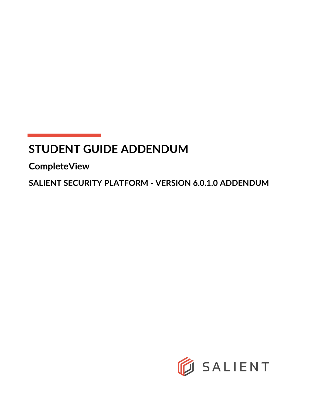# **STUDENT GUIDE ADDENDUM**

**CompleteView**

**SALIENT SECURITY PLATFORM - VERSION 6.0.1.0 ADDENDUM**

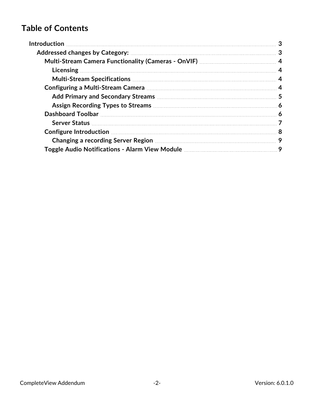# **Table of Contents**

| Changing a recording Server Region <b>Manual Access 2018</b> 2014 2014 |
|------------------------------------------------------------------------|
|                                                                        |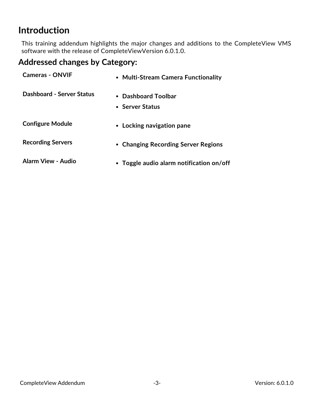# <span id="page-2-0"></span>**Introduction**

This training addendum highlights the major changes and additions to the CompleteView VMS software with the release of CompleteViewVersion 6.0.1.0.

# <span id="page-2-1"></span>**Addressed changes by Category:**

| <b>Cameras - ONVIF</b>           | • Multi-Stream Camera Functionality      |
|----------------------------------|------------------------------------------|
| <b>Dashboard - Server Status</b> | • Dashboard Toolbar<br>• Server Status   |
| <b>Configure Module</b>          | • Locking navigation pane                |
| <b>Recording Servers</b>         | • Changing Recording Server Regions      |
| Alarm View - Audio               | • Toggle audio alarm notification on/off |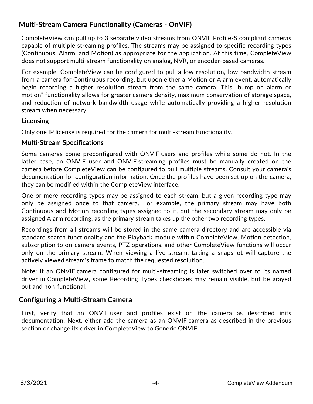# <span id="page-3-0"></span>**Multi-Stream Camera Functionality (Cameras - OnVIF)**

CompleteView can pull up to 3 separate video streams from ONVIF Profile-S compliant cameras capable of multiple streaming profiles. The streams may be assigned to specific recording types (Continuous, Alarm, and Motion) as appropriate for the application. At this time, CompleteView does not support multi-stream functionality on analog, NVR, or encoder-based cameras.

For example, CompleteView can be configured to pull a low resolution, low bandwidth stream from a camera for Continuous recording, but upon either a Motion or Alarm event, automatically begin recording a higher resolution stream from the same camera. This "bump on alarm or motion" functionality allows for greater camera density, maximum conservation of storage space, and reduction of network bandwidth usage while automatically providing a higher resolution stream when necessary.

#### <span id="page-3-1"></span>**Licensing**

<span id="page-3-2"></span>Only one IP license is required for the camera for multi-stream functionality.

#### **Multi-Stream Specifications**

Some cameras come preconfigured with ONVIF users and profiles while some do not. In the latter case, an ONVIF user and ONVIF streaming profiles must be manually created on the camera before CompleteView can be configured to pull multiple streams. Consult your camera's documentation for configuration information. Once the profiles have been set up on the camera, they can be modified within the CompleteView interface.

One or more recording types may be assigned to each stream, but a given recording type may only be assigned once to that camera. For example, the primary stream may have both Continuous and Motion recording types assigned to it, but the secondary stream may only be assigned Alarm recording, as the primary stream takes up the other two recording types.

Recordings from all streams will be stored in the same camera directory and are accessible via standard search functionality and the Playback module within CompleteView. Motion detection, subscription to on-camera events, PTZ operations, and other CompleteView functions will occur only on the primary stream. When viewing a live stream, taking a snapshot will capture the actively viewed stream's frame to match the requested resolution.

<span id="page-3-3"></span>Note: If an ONVIF camera configured for multi-streaming is later switched over to its named driver in CompleteView, some Recording Types checkboxes may remain visible, but be grayed out and non-functional.

### **Configuring a Multi-Stream Camera**

First, verify that an ONVIF user and profiles exist on the camera as described inits documentation. Next, either add the camera as an ONVIF camera as described in the previous section or change its driver in CompleteView to Generic ONVIF.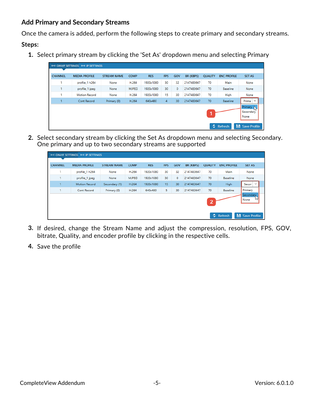#### <span id="page-4-0"></span>**Add Primary and Secondary Streams**

Once the camera is added, perform the following steps to create primary and secondary streams.

#### **Steps:**

**1.** Select primary stream by clicking the 'Set As' dropdown menu and selecting Primary

| <b>CHANNEL</b> | <b>MEDIA PROFILE</b> |                    | <b>COMP</b>  |            |                |         |            |                | <b>ENC PROFILE</b> |                                                      |
|----------------|----------------------|--------------------|--------------|------------|----------------|---------|------------|----------------|--------------------|------------------------------------------------------|
|                |                      | <b>STREAM NAME</b> |              | <b>RES</b> | <b>FPS</b>     | GOV     | BR (KBPS)  | <b>QUALITY</b> |                    | <b>SET AS</b>                                        |
| ٠              | profile_1 h264       | None               | H.264        | 1920x1080  | 30             | 32      | 2147483647 | 70             | Main               | None                                                 |
|                | profile_1 jpeg       | None               | <b>MJPEG</b> | 1920x1080  | 30             | $\circ$ | 2147483647 | 70             | Baseline           | None                                                 |
|                | <b>Motion Record</b> | None               | H.264        | 1920x1080  | 15             | 30      | 2147483647 | 70             | High               | None                                                 |
|                | Cont Record          | Primary (0)        | H.264        | 640x480    | $\overline{4}$ | 30      | 2147483647 | 70             | <b>Baseline</b>    | Prima<br>$\checkmark$                                |
|                |                      |                    |              |            |                |         |            |                |                    | <b>Primary</b><br>$\mathcal{P}$<br>Secondary<br>None |

**2.** Select secondary stream by clicking the Set As dropdown menu and selecting Secondary. One primary and up to two secondary streams are supported

| profile_1 h264       | None          | H.264        | 1920x1080 | 30 | 32 | 2147483647 | 70 | Main            | None                  |
|----------------------|---------------|--------------|-----------|----|----|------------|----|-----------------|-----------------------|
| profile_1 jpeg       | None          | <b>MJPEG</b> | 1920x1080 | 30 | 0  | 2147483647 | 70 | <b>Baseline</b> | None                  |
| <b>Motion Record</b> | Secondary (1) | H.264        | 1920x1080 | 15 | 30 | 2147483647 | 70 | High            | Secon<br>$\checkmark$ |
| Cont Record          | Primary (0)   | H.264        | 640x480   | 5  | 30 | 2147483647 | 70 | <b>Baseline</b> | Primary               |
|                      |               |              |           |    |    |            |    |                 | 2                     |

- **3.** If desired, change the Stream Name and adjust the compression, resolution, FPS, GOV, bitrate, Quality, and encoder profile by clicking in the respective cells.
- **4.** Save the profile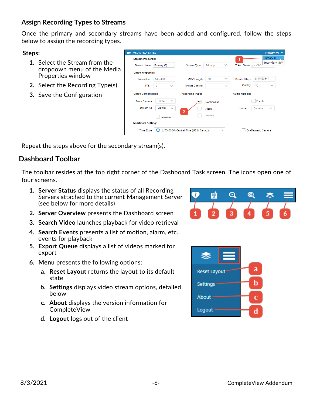#### <span id="page-5-0"></span>**Assign Recording Types to Streams**

Once the primary and secondary streams have been added and configured, follow the steps below to assign the recording types.

**Steps:**

- **1.** Select the Stream from the dropdown menu of the Media Properties window
- **2.** Select the Recording Type(s)
- **3.** Save the Configuration

| <b>INICORN LIVELINITIES</b> |                       |                                        |            |              |                      | <b>Filling</b> (v)            |
|-----------------------------|-----------------------|----------------------------------------|------------|--------------|----------------------|-------------------------------|
| <b>Stream Properties</b>    |                       |                                        |            |              | 1                    | Primary (0)<br>Secondary (150 |
| <b>Stream Name</b>          | Primary (0)           | Stream Type                            | Primary    | $\checkmark$ | Token Name profile1  |                               |
| <b>Video Properties</b>     |                       |                                        |            |              |                      |                               |
| <i><b>Resolution</b></i>    | 640x480               | <b>GOV Length</b>                      | 30         | $\checkmark$ | Bitrate (Kbps)       | 2147483647                    |
| <b>FPS</b>                  | $\sim$<br>4           | <b>Bitrate Control</b>                 |            | $\sim$       | Quality              | 70<br>$\sim$                  |
| <b>Video Compression</b>    |                       | <b>Recording Types</b>                 |            |              | <b>Audio Options</b> |                               |
| From Camera                 | H.264<br>$\sim$       | ✓                                      | Continuous |              |                      | Enable                        |
| <b>Stream As</b>            | MPEG4<br>$\checkmark$ |                                        | Alarm      |              | ource                | $\checkmark$<br>Camera        |
|                             | Recompi               | $\overline{2}$                         | Motion     |              |                      |                               |
| <b>Additional Settings</b>  |                       |                                        |            |              |                      |                               |
| <b>Time Zone</b>            |                       | (UTC-06:00) Central Time (US & Canada) |            | $\checkmark$ |                      | <b>On-Demand Camera</b>       |
|                             |                       |                                        |            |              |                      |                               |

<span id="page-5-1"></span>Repeat the steps above for the secondary stream(s).

# **Dashboard Toolbar**

The toolbar resides at the top right corner of the Dashboard Task screen. The icons open one of four screens.

- **1. Server Status** displays the status of all Recording Servers attached to the current Management Server (see below for more details)
- **2. Server Overview** presents the Dashboard screen
- **3. Search Video** launches playback for video retrieval
- **4. Search Events** presents a list of motion, alarm, etc., events for playback
- **5. Export Queue** displays a list of videos marked for export
- **6. Menu** presents the following options:
	- **a. Reset Layout** returns the layout to its default state
	- **b. Settings** displays video stream options, detailed below
	- **c. About** displays the version information for CompleteView
	- **d. Logout** logs out of the client



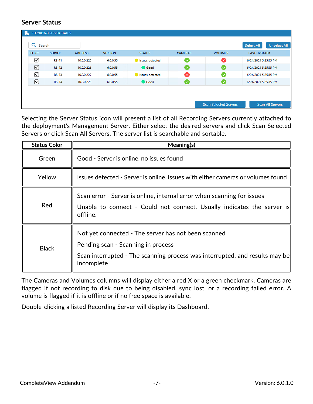#### <span id="page-6-0"></span>**Server Status**

| L €                  | <b>RECORDING SERVER STATUS</b> |                |                |                 |                |                              |                                          |
|----------------------|--------------------------------|----------------|----------------|-----------------|----------------|------------------------------|------------------------------------------|
| Q                    | Search                         |                |                |                 |                |                              | <b>Unselect All</b><br><b>Select All</b> |
| <b>SELECT</b>        | <b>SERVER</b>                  | <b>ADDRESS</b> | <b>VERSION</b> | <b>STATUS</b>   | <b>CAMERAS</b> | <b>VOLUMES</b>               | <b>LAST UPDATED</b>                      |
| ☑                    | <b>RS-T1</b>                   | 10.0.0.225     | 6.0.0.55       | Issues detected | $\bullet$      | ☎                            | 6/24/2021 5:25:35 PM                     |
| $\boxed{\mathbf{z}}$ | $RS-T2$                        | 10.0.0.226     | 6.0.0.55       | Good            | $\sim$         | CV.                          | 6/24/2021 5:25:35 PM                     |
| ☑                    | RS-T3                          | 10.0.0.227     | 6.0.0.55       | Issues detected | ☎              | ☞                            | 6/24/2021 5:25:35 PM                     |
| $\boxed{\mathbf{v}}$ | $RS-T4$                        | 10.0.0.228     | 6.0.0.55       | Good            | l v            | (✓                           | 6/24/2021 5:25:35 PM                     |
|                      |                                |                |                |                 |                |                              |                                          |
|                      |                                |                |                |                 |                |                              |                                          |
|                      |                                |                |                |                 |                | <b>Scan Selected Servers</b> | <b>Scan All Servers</b>                  |

Selecting the Server Status icon will present a list of all Recording Servers currently attached to the deployment's Management Server. Either select the desired servers and click Scan Selected Servers or click Scan All Servers. The server list is searchable and sortable.

| <b>Status Color</b> | Meaning(s)                                                                                                                                                                             |
|---------------------|----------------------------------------------------------------------------------------------------------------------------------------------------------------------------------------|
| Green               | Good - Server is online, no issues found                                                                                                                                               |
| Yellow              | Issues detected - Server is online, issues with either cameras or volumes found                                                                                                        |
| Red                 | Scan error - Server is online, internal error when scanning for issues<br>Unable to connect - Could not connect. Usually indicates the server is<br>offline.                           |
| <b>Black</b>        | Not yet connected - The server has not been scanned<br>Pending scan - Scanning in process<br>Scan interrupted - The scanning process was interrupted, and results may be<br>incomplete |

The Cameras and Volumes columns will display either a red X or a green checkmark. Cameras are flagged if not recording to disk due to being disabled, sync lost, or a recording failed error. A volume is flagged if it is offline or if no free space is available.

Double-clicking a listed Recording Server will display its Dashboard.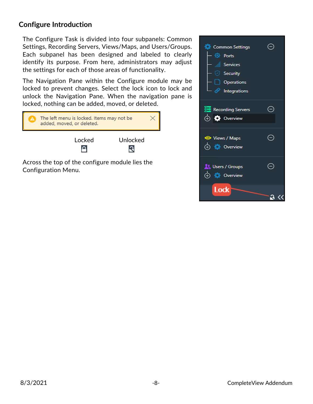### <span id="page-7-0"></span>**Configure Introduction**

The Configure Task is divided into four subpanels: Common Settings, Recording Servers, Views/Maps, and Users/Groups. Each subpanel has been designed and labeled to clearly identify its purpose. From here, administrators may adjust the settings for each of those areas of functionality.

The Navigation Pane within the Configure module may be locked to prevent changes. Select the lock icon to lock and unlock the Navigation Pane. When the navigation pane is locked, nothing can be added, moved, or deleted.



Configuration Menu.

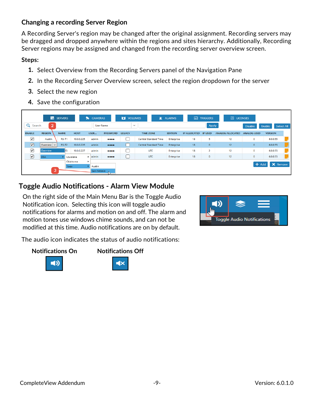### <span id="page-8-0"></span>**Changing a recording Server Region**

A Recording Server's region may be changed after the original assignment. Recording servers may be dragged and dropped anywhere within the regions and sites hierarchy. Additionally, Recording Server regions may be assigned and changed from the recording server overview screen.

#### **Steps:**

- **1.** Select Overview from the Recording Servers panel of the Navigation Pane
- **2.** In the Recording Server Overview screen, select the region dropdown for the server
- **3.** Select the new region
- **4.** Save the configuration

|                       |                             | <b>Fo</b> SERVERS |           | $\bullet$   | <b>CAMERAS</b>              |                                | <b>DE VOLUMES</b> | 資                            | <b>ALARMS</b>  | 侖                    | <b>TRIGGERS</b> | 园 LICENSES              |                    |                |            |
|-----------------------|-----------------------------|-------------------|-----------|-------------|-----------------------------|--------------------------------|-------------------|------------------------------|----------------|----------------------|-----------------|-------------------------|--------------------|----------------|------------|
| Q<br>Search           | $\mathbf{2}$                |                   |           |             | <b>User Name</b>            |                                | $\checkmark$      |                              |                |                      | Apply           |                         | <b>Disable</b>     | Enable         | Select All |
| <b>ENABLE</b>         | <b>REGION</b>               | <b>NAME</b>       |           | <b>HOST</b> | USER                        | <b>PASSWORD</b>                | <b>LEGACY</b>     | <b>TIME ZONE</b>             | <b>EDITION</b> | IP ALLOCATED IP USED |                 | <b>ANALOG ALLOCATED</b> | <b>ANALOG USED</b> | <b>VERSION</b> |            |
| ☑                     | Austin                      | RS-T1             |           | 10.0.0.225  | admin                       | $\bullet\bullet\bullet\bullet$ |                   | <b>Central Standard Time</b> | Enterprise     | 18                   | ь               | 12                      | $\circ$            | 6.0.0.55       |            |
| $\boldsymbol{\nabla}$ | Overview $\vert \vee \vert$ | $RS-T2$           |           | 10.0.0.226  | admin                       | $\bullet\bullet\bullet\bullet$ |                   | <b>Central Standard Time</b> | Enterprise     | 18 <sup>1</sup>      | $\circ$         | 12                      | $\circ$            | 6.0.0.55       |            |
| ☑                     | Overview                    |                   | Iгз       | 10.0.0.227  | admin                       | 0000                           |                   | <b>UTC</b>                   | Enterprise     | 18                   | $\overline{2}$  | 12                      | $\circ$            | 6.0.0.55       |            |
| $\boxed{\mathbf{S}}$  | <b>USA</b>                  |                   | Louisiana |             | $\blacktriangleright$ admin | $\bullet\bullet\bullet\bullet$ |                   | <b>UTC</b>                   | Enterprise     | 18                   | $\circ$         | 12                      | $\bullet$          | 6.0.0.55       |            |
|                       | Oklahoma                    |                   |           | ٠           |                             |                                |                   |                              |                |                      |                 | $+$ Add                 | X Remove           |                |            |
|                       |                             |                   | Texas     |             | Austin                      |                                |                   |                              |                |                      |                 |                         |                    |                |            |
|                       | з                           |                   |           |             | San Antonio                 |                                |                   |                              |                |                      |                 |                         |                    |                |            |

# <span id="page-8-1"></span>**Toggle Audio Notifications - Alarm View Module**

On the right side of the Main Menu Bar is the Toggle Audio Notification icon. Selecting this icon will toggle audio notifications for alarms and motion on and off. The alarm and motion tones use windows chime sounds, and can not be modified at this time. Audio notifications are on by default.

The audio icon indicates the status of audio notifications:

#### **Notifications On Notifications Off**